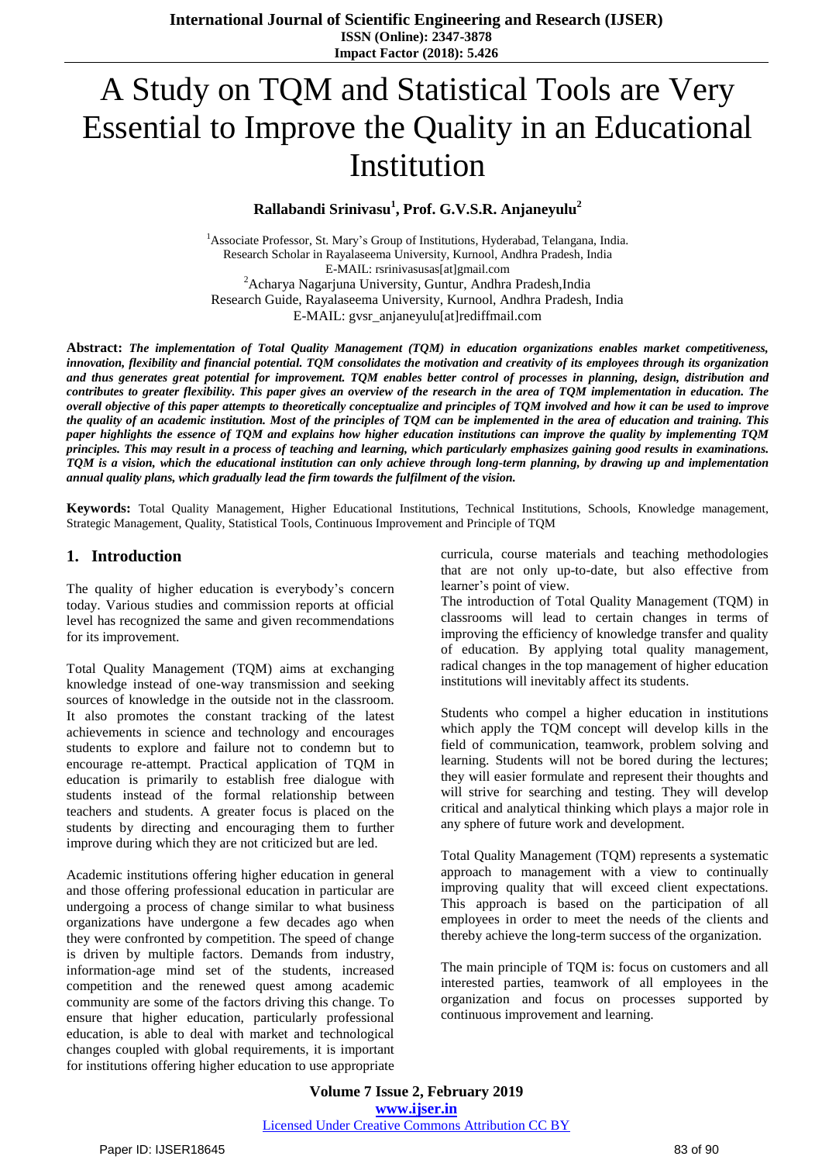**International Journal of Scientific Engineering and Research (IJSER) ISSN (Online): 2347-3878 Impact Factor (2018): 5.426**

# A Study on TQM and Statistical Tools are Very Essential to Improve the Quality in an Educational Institution

## **Rallabandi Srinivasu<sup>1</sup> , Prof. G.V.S.R. Anjaneyulu<sup>2</sup>**

<sup>1</sup> Associate Professor, St. Mary's Group of Institutions, Hyderabad, Telangana, India. Research Scholar in Rayalaseema University, Kurnool, Andhra Pradesh, India E-MAIL: rsrinivasusas[at]gmail.com <sup>2</sup>Acharya Nagarjuna University, Guntur, Andhra Pradesh, India Research Guide, Rayalaseema University, Kurnool, Andhra Pradesh, India E-MAIL: gvsr\_anjaneyulu[at]rediffmail.com

**Abstract:** *The implementation of Total Quality Management (TQM) in education organizations enables market competitiveness,*  innovation, flexibility and financial potential. TOM consolidates the motivation and creativity of its employees through its organization and thus generates great potential for improvement. TOM enables better control of processes in planning, design, distribution and contributes to greater flexibility. This paper gives an overview of the research in the area of TOM implementation in education. The overall objective of this paper attempts to theoretically conceptualize and principles of TQM involved and how it can be used to improve the quality of an academic institution. Most of the principles of TQM can be implemented in the area of education and training. This paper highlights the essence of TOM and explains how higher education institutions can improve the quality by implementing TOM principles. This may result in a process of teaching and learning, which particularly emphasizes gaining good results in examinations. TOM is a vision, which the educational institution can only achieve through long-term planning, by drawing up and implementation *annual quality plans, which gradually lead the firm towards the fulfilment of the vision.*

**Keywords:** Total Quality Management, Higher Educational Institutions, Technical Institutions, Schools, Knowledge management, Strategic Management, Quality, Statistical Tools, Continuous Improvement and Principle of TQM

#### **1. Introduction**

The quality of higher education is everybody's concern today. Various studies and commission reports at official level has recognized the same and given recommendations for its improvement.

Total Quality Management (TQM) aims at exchanging knowledge instead of one-way transmission and seeking sources of knowledge in the outside not in the classroom. It also promotes the constant tracking of the latest achievements in science and technology and encourages students to explore and failure not to condemn but to encourage re-attempt. Practical application of TQM in education is primarily to establish free dialogue with students instead of the formal relationship between teachers and students. A greater focus is placed on the students by directing and encouraging them to further improve during which they are not criticized but are led.

Academic institutions offering higher education in general and those offering professional education in particular are undergoing a process of change similar to what business organizations have undergone a few decades ago when they were confronted by competition. The speed of change is driven by multiple factors. Demands from industry, information-age mind set of the students, increased competition and the renewed quest among academic community are some of the factors driving this change. To ensure that higher education, particularly professional education, is able to deal with market and technological changes coupled with global requirements, it is important for institutions offering higher education to use appropriate

curricula, course materials and teaching methodologies that are not only up-to-date, but also effective from learner's point of view.

The introduction of Total Quality Management (TQM) in classrooms will lead to certain changes in terms of improving the efficiency of knowledge transfer and quality of education. By applying total quality management, radical changes in the top management of higher education institutions will inevitably affect its students.

Students who compel a higher education in institutions which apply the TQM concept will develop kills in the field of communication, teamwork, problem solving and learning. Students will not be bored during the lectures; they will easier formulate and represent their thoughts and will strive for searching and testing. They will develop critical and analytical thinking which plays a major role in any sphere of future work and development.

Total Quality Management (TQM) represents a systematic approach to management with a view to continually improving quality that will exceed client expectations. This approach is based on the participation of all employees in order to meet the needs of the clients and thereby achieve the long-term success of the organization.

The main principle of TQM is: focus on customers and all interested parties, teamwork of all employees in the organization and focus on processes supported by continuous improvement and learning.

**Volume 7 Issue 2, February 2019 www.ijser.in** Licensed Under Creative Commons Attribution CC BY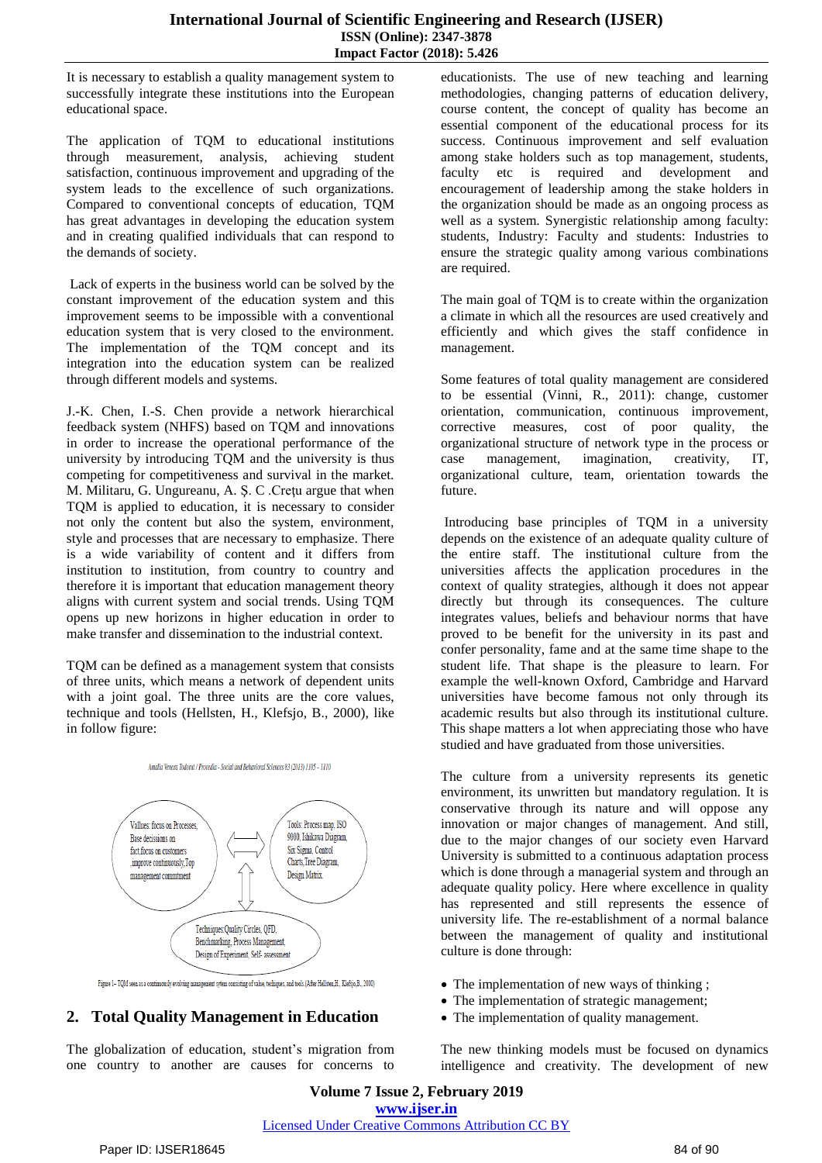It is necessary to establish a quality management system to successfully integrate these institutions into the European educational space.

The application of TQM to educational institutions through measurement, analysis, achieving student satisfaction, continuous improvement and upgrading of the system leads to the excellence of such organizations. Compared to conventional concepts of education, TQM has great advantages in developing the education system and in creating qualified individuals that can respond to the demands of society.

Lack of experts in the business world can be solved by the constant improvement of the education system and this improvement seems to be impossible with a conventional education system that is very closed to the environment. The implementation of the TQM concept and its integration into the education system can be realized through different models and systems.

J.-K. Chen, I.-S. Chen provide a network hierarchical feedback system (NHFS) based on TQM and innovations in order to increase the operational performance of the university by introducing TQM and the university is thus competing for competitiveness and survival in the market. M. Militaru, G. Ungureanu, A. Ş. C .Creţu argue that when TQM is applied to education, it is necessary to consider not only the content but also the system, environment, style and processes that are necessary to emphasize. There is a wide variability of content and it differs from institution to institution, from country to country and therefore it is important that education management theory aligns with current system and social trends. Using TQM opens up new horizons in higher education in order to make transfer and dissemination to the industrial context.

TQM can be defined as a management system that consists of three units, which means a network of dependent units with a joint goal. The three units are the core values, technique and tools (Hellsten, H., Klefsjo, B., 2000), like in follow figure:



Figure 1-TQM seen as a continuously evolving management sytem consisting of value, techiques, and tools.(After Hellsten,H., Klefsjo,B., 2000)

#### **2. Total Quality Management in Education**

The globalization of education, student's migration from one country to another are causes for concerns to

educationists. The use of new teaching and learning methodologies, changing patterns of education delivery, course content, the concept of quality has become an essential component of the educational process for its success. Continuous improvement and self evaluation among stake holders such as top management, students, faculty etc is required and development and encouragement of leadership among the stake holders in the organization should be made as an ongoing process as well as a system. Synergistic relationship among faculty: students, Industry: Faculty and students: Industries to ensure the strategic quality among various combinations are required.

The main goal of TQM is to create within the organization a climate in which all the resources are used creatively and efficiently and which gives the staff confidence in management.

Some features of total quality management are considered to be essential (Vinni, R., 2011): change, customer orientation, communication, continuous improvement, corrective measures, cost of poor quality, the organizational structure of network type in the process or case management, imagination, creativity, IT, organizational culture, team, orientation towards the future.

Introducing base principles of TQM in a university depends on the existence of an adequate quality culture of the entire staff. The institutional culture from the universities affects the application procedures in the context of quality strategies, although it does not appear directly but through its consequences. The culture integrates values, beliefs and behaviour norms that have proved to be benefit for the university in its past and confer personality, fame and at the same time shape to the student life. That shape is the pleasure to learn. For example the well-known Oxford, Cambridge and Harvard universities have become famous not only through its academic results but also through its institutional culture. This shape matters a lot when appreciating those who have studied and have graduated from those universities.

The culture from a university represents its genetic environment, its unwritten but mandatory regulation. It is conservative through its nature and will oppose any innovation or major changes of management. And still, due to the major changes of our society even Harvard University is submitted to a continuous adaptation process which is done through a managerial system and through an adequate quality policy. Here where excellence in quality has represented and still represents the essence of university life. The re-establishment of a normal balance between the management of quality and institutional culture is done through:

- The implementation of new ways of thinking;
- The implementation of strategic management;
- The implementation of quality management.

The new thinking models must be focused on dynamics intelligence and creativity. The development of new

**Volume 7 Issue 2, February 2019 www.ijser.in** Licensed Under Creative Commons Attribution CC BY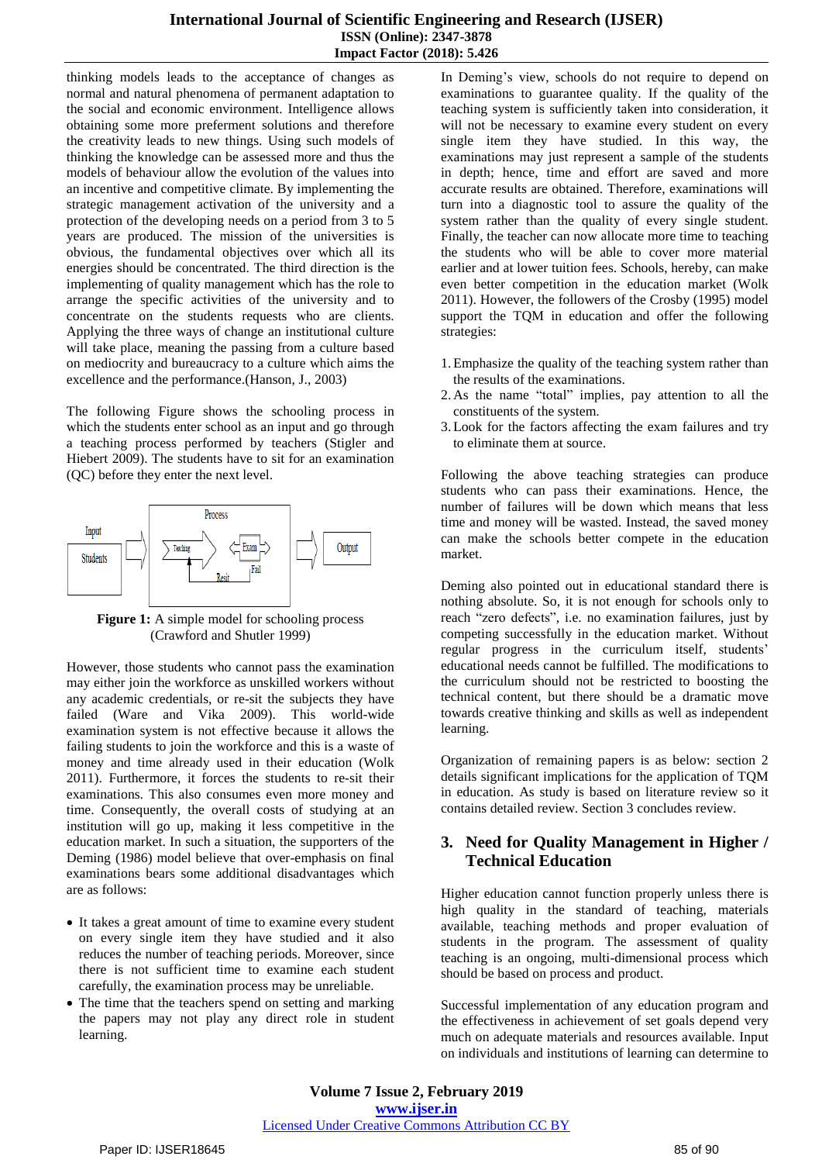thinking models leads to the acceptance of changes as normal and natural phenomena of permanent adaptation to the social and economic environment. Intelligence allows obtaining some more preferment solutions and therefore the creativity leads to new things. Using such models of thinking the knowledge can be assessed more and thus the models of behaviour allow the evolution of the values into an incentive and competitive climate. By implementing the strategic management activation of the university and a protection of the developing needs on a period from 3 to 5 years are produced. The mission of the universities is obvious, the fundamental objectives over which all its energies should be concentrated. The third direction is the implementing of quality management which has the role to arrange the specific activities of the university and to concentrate on the students requests who are clients. Applying the three ways of change an institutional culture will take place, meaning the passing from a culture based on mediocrity and bureaucracy to a culture which aims the excellence and the performance.(Hanson, J., 2003)

The following Figure shows the schooling process in which the students enter school as an input and go through a teaching process performed by teachers (Stigler and Hiebert 2009). The students have to sit for an examination (QC) before they enter the next level.



**Figure 1:** A simple model for schooling process (Crawford and Shutler 1999)

However, those students who cannot pass the examination may either join the workforce as unskilled workers without any academic credentials, or re-sit the subjects they have failed (Ware and Vika 2009). This world-wide examination system is not effective because it allows the failing students to join the workforce and this is a waste of money and time already used in their education (Wolk 2011). Furthermore, it forces the students to re-sit their examinations. This also consumes even more money and time. Consequently, the overall costs of studying at an institution will go up, making it less competitive in the education market. In such a situation, the supporters of the Deming (1986) model believe that over-emphasis on final examinations bears some additional disadvantages which are as follows:

- It takes a great amount of time to examine every student on every single item they have studied and it also reduces the number of teaching periods. Moreover, since there is not sufficient time to examine each student carefully, the examination process may be unreliable.
- The time that the teachers spend on setting and marking the papers may not play any direct role in student learning.

In Deming's view, schools do not require to depend on examinations to guarantee quality. If the quality of the teaching system is sufficiently taken into consideration, it will not be necessary to examine every student on every single item they have studied. In this way, the examinations may just represent a sample of the students in depth; hence, time and effort are saved and more accurate results are obtained. Therefore, examinations will turn into a diagnostic tool to assure the quality of the system rather than the quality of every single student. Finally, the teacher can now allocate more time to teaching the students who will be able to cover more material earlier and at lower tuition fees. Schools, hereby, can make even better competition in the education market (Wolk 2011). However, the followers of the Crosby (1995) model support the TQM in education and offer the following strategies:

- 1.Emphasize the quality of the teaching system rather than the results of the examinations.
- 2. As the name "total" implies, pay attention to all the constituents of the system.
- 3.Look for the factors affecting the exam failures and try to eliminate them at source.

Following the above teaching strategies can produce students who can pass their examinations. Hence, the number of failures will be down which means that less time and money will be wasted. Instead, the saved money can make the schools better compete in the education market.

Deming also pointed out in educational standard there is nothing absolute. So, it is not enough for schools only to reach "zero defects", i.e. no examination failures, just by competing successfully in the education market. Without regular progress in the curriculum itself, students' educational needs cannot be fulfilled. The modifications to the curriculum should not be restricted to boosting the technical content, but there should be a dramatic move towards creative thinking and skills as well as independent learning.

Organization of remaining papers is as below: section 2 details significant implications for the application of TQM in education. As study is based on literature review so it contains detailed review. Section 3 concludes review.

# **3. Need for Quality Management in Higher / Technical Education**

Higher education cannot function properly unless there is high quality in the standard of teaching, materials available, teaching methods and proper evaluation of students in the program. The assessment of quality teaching is an ongoing, multi-dimensional process which should be based on process and product.

Successful implementation of any education program and the effectiveness in achievement of set goals depend very much on adequate materials and resources available. Input on individuals and institutions of learning can determine to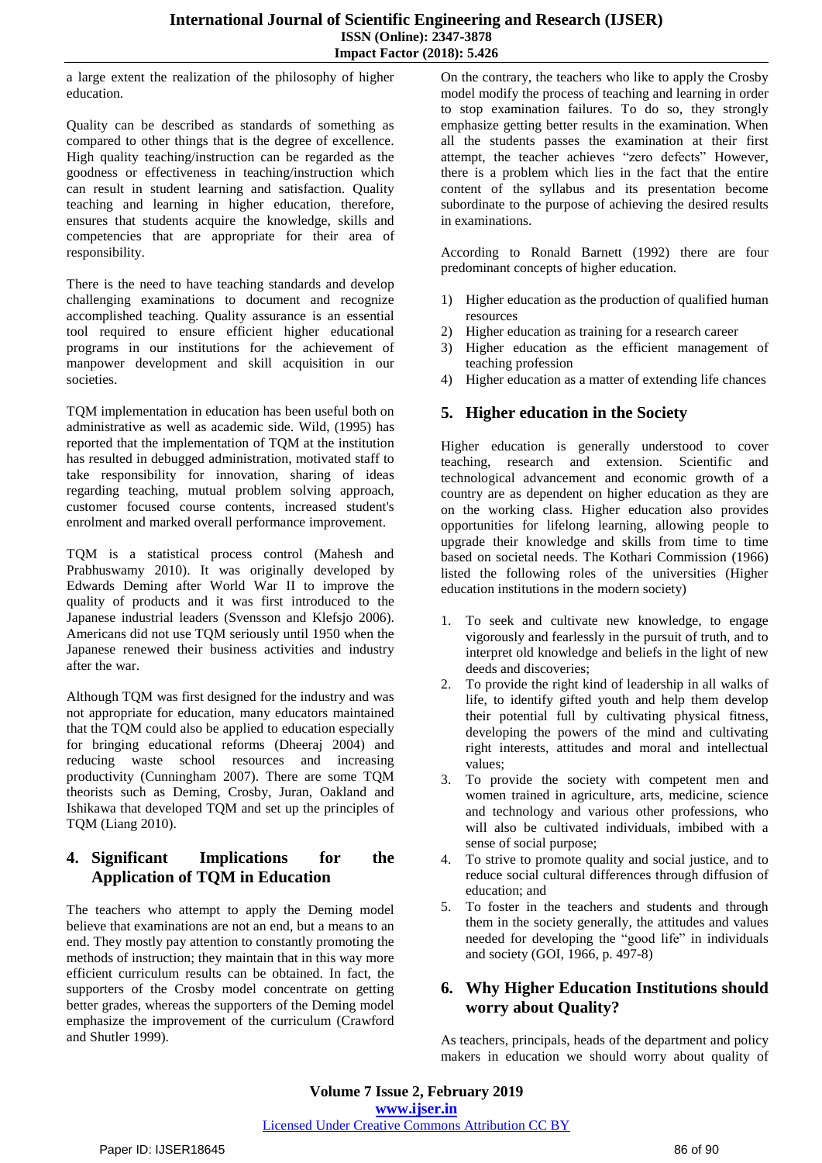a large extent the realization of the philosophy of higher education.

Quality can be described as standards of something as compared to other things that is the degree of excellence. High quality teaching/instruction can be regarded as the goodness or effectiveness in teaching/instruction which can result in student learning and satisfaction. Quality teaching and learning in higher education, therefore, ensures that students acquire the knowledge, skills and competencies that are appropriate for their area of responsibility.

There is the need to have teaching standards and develop challenging examinations to document and recognize accomplished teaching. Quality assurance is an essential tool required to ensure efficient higher educational programs in our institutions for the achievement of manpower development and skill acquisition in our societies.

TQM implementation in education has been useful both on administrative as well as academic side. Wild, (1995) has reported that the implementation of TQM at the institution has resulted in debugged administration, motivated staff to take responsibility for innovation, sharing of ideas regarding teaching, mutual problem solving approach, customer focused course contents, increased student's enrolment and marked overall performance improvement.

TQM is a statistical process control (Mahesh and Prabhuswamy 2010). It was originally developed by Edwards Deming after World War II to improve the quality of products and it was first introduced to the Japanese industrial leaders (Svensson and Klefsjo 2006). Americans did not use TQM seriously until 1950 when the Japanese renewed their business activities and industry after the war.

Although TQM was first designed for the industry and was not appropriate for education, many educators maintained that the TQM could also be applied to education especially for bringing educational reforms (Dheeraj 2004) and reducing waste school resources and increasing productivity (Cunningham 2007). There are some TQM theorists such as Deming, Crosby, Juran, Oakland and Ishikawa that developed TQM and set up the principles of TQM (Liang 2010).

## **4. Significant Implications for the Application of TQM in Education**

The teachers who attempt to apply the Deming model believe that examinations are not an end, but a means to an end. They mostly pay attention to constantly promoting the methods of instruction; they maintain that in this way more efficient curriculum results can be obtained. In fact, the supporters of the Crosby model concentrate on getting better grades, whereas the supporters of the Deming model emphasize the improvement of the curriculum (Crawford and Shutler 1999).

On the contrary, the teachers who like to apply the Crosby model modify the process of teaching and learning in order to stop examination failures. To do so, they strongly emphasize getting better results in the examination. When all the students passes the examination at their first attempt, the teacher achieves "zero defects" However, there is a problem which lies in the fact that the entire content of the syllabus and its presentation become subordinate to the purpose of achieving the desired results in examinations.

According to Ronald Barnett (1992) there are four predominant concepts of higher education.

- 1) Higher education as the production of qualified human resources
- 2) Higher education as training for a research career
- 3) Higher education as the efficient management of teaching profession
- 4) Higher education as a matter of extending life chances

## **5. Higher education in the Society**

Higher education is generally understood to cover teaching, research and extension. Scientific and technological advancement and economic growth of a country are as dependent on higher education as they are on the working class. Higher education also provides opportunities for lifelong learning, allowing people to upgrade their knowledge and skills from time to time based on societal needs. The Kothari Commission (1966) listed the following roles of the universities (Higher education institutions in the modern society)

- 1. To seek and cultivate new knowledge, to engage vigorously and fearlessly in the pursuit of truth, and to interpret old knowledge and beliefs in the light of new deeds and discoveries;
- 2. To provide the right kind of leadership in all walks of life, to identify gifted youth and help them develop their potential full by cultivating physical fitness, developing the powers of the mind and cultivating right interests, attitudes and moral and intellectual values;
- 3. To provide the society with competent men and women trained in agriculture, arts, medicine, science and technology and various other professions, who will also be cultivated individuals, imbibed with a sense of social purpose;
- 4. To strive to promote quality and social justice, and to reduce social cultural differences through diffusion of education; and
- 5. To foster in the teachers and students and through them in the society generally, the attitudes and values needed for developing the "good life" in individuals and society (GOI, 1966, p. 497-8)

# **6. Why Higher Education Institutions should worry about Quality?**

As teachers, principals, heads of the department and policy makers in education we should worry about quality of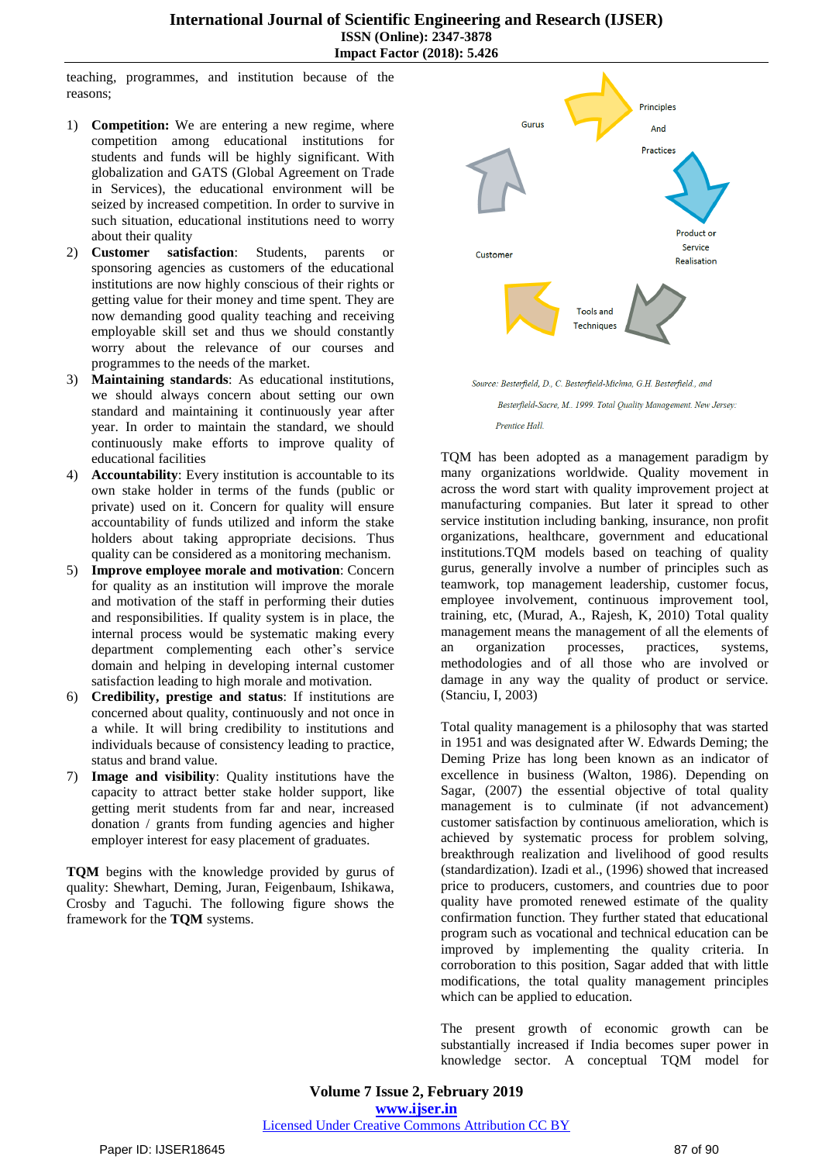#### **International Journal of Scientific Engineering and Research (IJSER) ISSN (Online): 2347-3878 Impact Factor (2018): 5.426**

teaching, programmes, and institution because of the reasons;

- 1) **Competition:** We are entering a new regime, where competition among educational institutions for students and funds will be highly significant. With globalization and GATS (Global Agreement on Trade in Services), the educational environment will be seized by increased competition. In order to survive in such situation, educational institutions need to worry about their quality
- 2) **Customer satisfaction**: Students, parents or sponsoring agencies as customers of the educational institutions are now highly conscious of their rights or getting value for their money and time spent. They are now demanding good quality teaching and receiving employable skill set and thus we should constantly worry about the relevance of our courses and programmes to the needs of the market.
- 3) **Maintaining standards**: As educational institutions, we should always concern about setting our own standard and maintaining it continuously year after year. In order to maintain the standard, we should continuously make efforts to improve quality of educational facilities
- 4) **Accountability**: Every institution is accountable to its own stake holder in terms of the funds (public or private) used on it. Concern for quality will ensure accountability of funds utilized and inform the stake holders about taking appropriate decisions. Thus quality can be considered as a monitoring mechanism.
- 5) **Improve employee morale and motivation**: Concern for quality as an institution will improve the morale and motivation of the staff in performing their duties and responsibilities. If quality system is in place, the internal process would be systematic making every department complementing each other's service domain and helping in developing internal customer satisfaction leading to high morale and motivation.
- 6) **Credibility, prestige and status**: If institutions are concerned about quality, continuously and not once in a while. It will bring credibility to institutions and individuals because of consistency leading to practice, status and brand value.
- 7) **Image and visibility**: Quality institutions have the capacity to attract better stake holder support, like getting merit students from far and near, increased donation / grants from funding agencies and higher employer interest for easy placement of graduates.

**TQM** begins with the knowledge provided by gurus of quality: Shewhart, Deming, Juran, Feigenbaum, Ishikawa, Crosby and Taguchi. The following figure shows the framework for the **TQM** systems.



Source: Besterfield, D., C. Besterfield-Michna, G.H. Besterfield., and

Besterfield-Sacre, M., 1999. Total Quality Management. New Jersey: Prentice Hall.

TQM has been adopted as a management paradigm by many organizations worldwide. Quality movement in across the word start with quality improvement project at manufacturing companies. But later it spread to other service institution including banking, insurance, non profit organizations, healthcare, government and educational institutions.TQM models based on teaching of quality gurus, generally involve a number of principles such as teamwork, top management leadership, customer focus, employee involvement, continuous improvement tool, training, etc, (Murad, A., Rajesh, K, 2010) Total quality management means the management of all the elements of an organization processes, practices, systems, methodologies and of all those who are involved or damage in any way the quality of product or service. (Stanciu, I, 2003)

Total quality management is a philosophy that was started in 1951 and was designated after W. Edwards Deming; the Deming Prize has long been known as an indicator of excellence in business (Walton, 1986). Depending on Sagar, (2007) the essential objective of total quality management is to culminate (if not advancement) customer satisfaction by continuous amelioration, which is achieved by systematic process for problem solving, breakthrough realization and livelihood of good results (standardization). Izadi et al., (1996) showed that increased price to producers, customers, and countries due to poor quality have promoted renewed estimate of the quality confirmation function. They further stated that educational program such as vocational and technical education can be improved by implementing the quality criteria. In corroboration to this position, Sagar added that with little modifications, the total quality management principles which can be applied to education.

The present growth of economic growth can be substantially increased if India becomes super power in knowledge sector. A conceptual TQM model for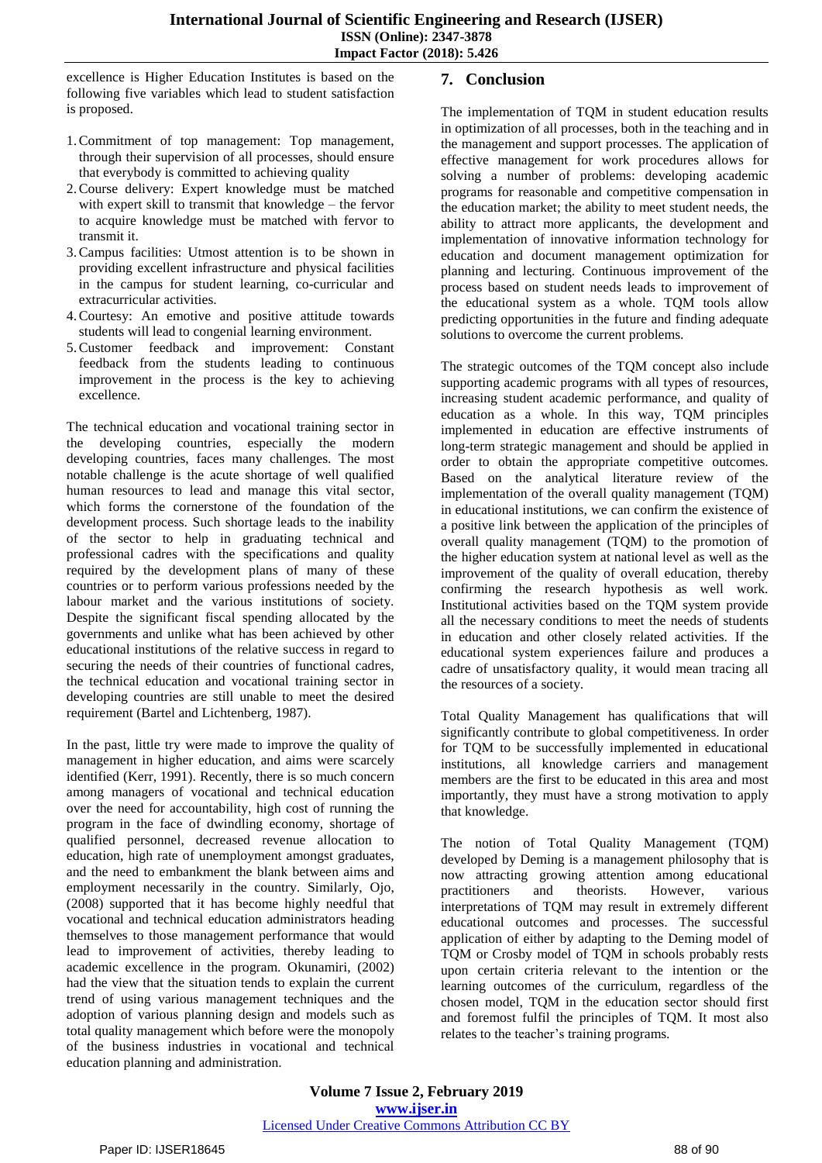excellence is Higher Education Institutes is based on the following five variables which lead to student satisfaction is proposed.

- 1.Commitment of top management: Top management, through their supervision of all processes, should ensure that everybody is committed to achieving quality
- 2.Course delivery: Expert knowledge must be matched with expert skill to transmit that knowledge – the fervor to acquire knowledge must be matched with fervor to transmit it.
- 3.Campus facilities: Utmost attention is to be shown in providing excellent infrastructure and physical facilities in the campus for student learning, co-curricular and extracurricular activities.
- 4.Courtesy: An emotive and positive attitude towards students will lead to congenial learning environment.
- 5.Customer feedback and improvement: Constant feedback from the students leading to continuous improvement in the process is the key to achieving excellence.

The technical education and vocational training sector in the developing countries, especially the modern developing countries, faces many challenges. The most notable challenge is the acute shortage of well qualified human resources to lead and manage this vital sector, which forms the cornerstone of the foundation of the development process. Such shortage leads to the inability of the sector to help in graduating technical and professional cadres with the specifications and quality required by the development plans of many of these countries or to perform various professions needed by the labour market and the various institutions of society. Despite the significant fiscal spending allocated by the governments and unlike what has been achieved by other educational institutions of the relative success in regard to securing the needs of their countries of functional cadres, the technical education and vocational training sector in developing countries are still unable to meet the desired requirement (Bartel and Lichtenberg, 1987).

In the past, little try were made to improve the quality of management in higher education, and aims were scarcely identified (Kerr, 1991). Recently, there is so much concern among managers of vocational and technical education over the need for accountability, high cost of running the program in the face of dwindling economy, shortage of qualified personnel, decreased revenue allocation to education, high rate of unemployment amongst graduates, and the need to embankment the blank between aims and employment necessarily in the country. Similarly, Ojo, (2008) supported that it has become highly needful that vocational and technical education administrators heading themselves to those management performance that would lead to improvement of activities, thereby leading to academic excellence in the program. Okunamiri, (2002) had the view that the situation tends to explain the current trend of using various management techniques and the adoption of various planning design and models such as total quality management which before were the monopoly of the business industries in vocational and technical education planning and administration.

## **7. Conclusion**

The implementation of TQM in student education results in optimization of all processes, both in the teaching and in the management and support processes. The application of effective management for work procedures allows for solving a number of problems: developing academic programs for reasonable and competitive compensation in the education market; the ability to meet student needs, the ability to attract more applicants, the development and implementation of innovative information technology for education and document management optimization for planning and lecturing. Continuous improvement of the process based on student needs leads to improvement of the educational system as a whole. TQM tools allow predicting opportunities in the future and finding adequate solutions to overcome the current problems.

The strategic outcomes of the TQM concept also include supporting academic programs with all types of resources, increasing student academic performance, and quality of education as a whole. In this way, TQM principles implemented in education are effective instruments of long-term strategic management and should be applied in order to obtain the appropriate competitive outcomes. Based on the analytical literature review of the implementation of the overall quality management (TQM) in educational institutions, we can confirm the existence of a positive link between the application of the principles of overall quality management (TQM) to the promotion of the higher education system at national level as well as the improvement of the quality of overall education, thereby confirming the research hypothesis as well work. Institutional activities based on the TQM system provide all the necessary conditions to meet the needs of students in education and other closely related activities. If the educational system experiences failure and produces a cadre of unsatisfactory quality, it would mean tracing all the resources of a society.

Total Quality Management has qualifications that will significantly contribute to global competitiveness. In order for TQM to be successfully implemented in educational institutions, all knowledge carriers and management members are the first to be educated in this area and most importantly, they must have a strong motivation to apply that knowledge.

The notion of Total Quality Management (TQM) developed by Deming is a management philosophy that is now attracting growing attention among educational practitioners and theorists. However, various interpretations of TQM may result in extremely different educational outcomes and processes. The successful application of either by adapting to the Deming model of TQM or Crosby model of TQM in schools probably rests upon certain criteria relevant to the intention or the learning outcomes of the curriculum, regardless of the chosen model, TQM in the education sector should first and foremost fulfil the principles of TQM. It most also relates to the teacher's training programs.

**Volume 7 Issue 2, February 2019 www.ijser.in** Licensed Under Creative Commons Attribution CC BY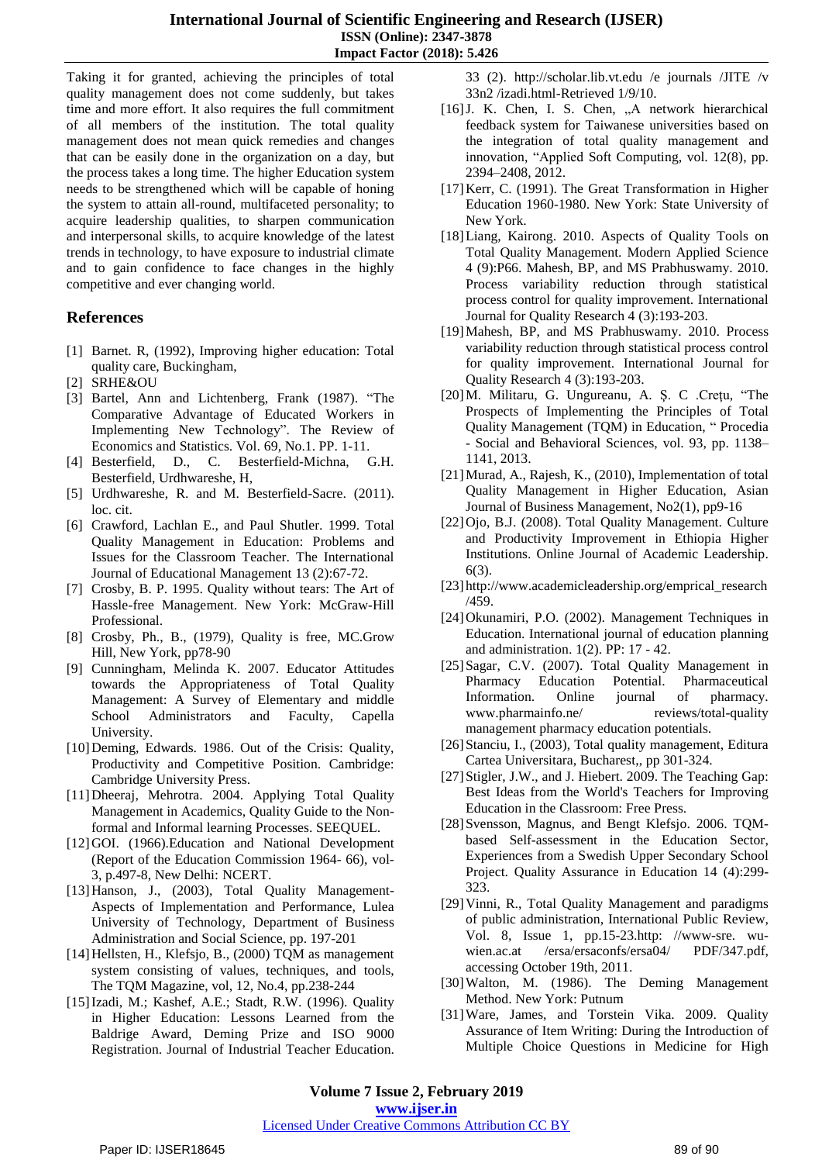Taking it for granted, achieving the principles of total quality management does not come suddenly, but takes time and more effort. It also requires the full commitment of all members of the institution. The total quality management does not mean quick remedies and changes that can be easily done in the organization on a day, but the process takes a long time. The higher Education system needs to be strengthened which will be capable of honing the system to attain all-round, multifaceted personality; to acquire leadership qualities, to sharpen communication and interpersonal skills, to acquire knowledge of the latest trends in technology, to have exposure to industrial climate and to gain confidence to face changes in the highly competitive and ever changing world.

#### **References**

- [1] Barnet. R, (1992), Improving higher education: Total quality care, Buckingham,
- [2] SRHE&OU
- [3] Bartel, Ann and Lichtenberg, Frank (1987). "The Comparative Advantage of Educated Workers in Implementing New Technology". The Review of Economics and Statistics. Vol. 69, No.1. PP. 1-11.
- [4] Besterfield, D., C. Besterfield-Michna, G.H. Besterfield, Urdhwareshe, H,
- [5] Urdhwareshe, R. and M. Besterfield-Sacre. (2011). loc. cit.
- [6] Crawford, Lachlan E., and Paul Shutler. 1999. Total Quality Management in Education: Problems and Issues for the Classroom Teacher. The International Journal of Educational Management 13 (2):67-72.
- [7] Crosby, B. P. 1995. Quality without tears: The Art of Hassle-free Management. New York: McGraw-Hill Professional.
- [8] Crosby, Ph., B., (1979), Quality is free, MC.Grow Hill, New York, pp78-90
- [9] Cunningham, Melinda K. 2007. Educator Attitudes towards the Appropriateness of Total Quality Management: A Survey of Elementary and middle School Administrators and Faculty, Capella University.
- [10]Deming, Edwards. 1986. Out of the Crisis: Quality, Productivity and Competitive Position. Cambridge: Cambridge University Press.
- [11]Dheeraj, Mehrotra. 2004. Applying Total Quality Management in Academics, Quality Guide to the Nonformal and Informal learning Processes. SEEQUEL.
- [12]GOI. (1966). Education and National Development (Report of the Education Commission 1964- 66), vol-3, p.497-8, New Delhi: NCERT.
- [13]Hanson, J., (2003), Total Quality Management-Aspects of Implementation and Performance, Lulea University of Technology, Department of Business Administration and Social Science, pp. 197-201
- [14] Hellsten, H., Klefsjo, B., (2000) TQM as management system consisting of values, techniques, and tools, The TQM Magazine, vol, 12, No.4, pp.238-244
- [15]Izadi, M.; Kashef, A.E.; Stadt, R.W. (1996). Quality in Higher Education: Lessons Learned from the Baldrige Award, Deming Prize and ISO 9000 Registration. Journal of Industrial Teacher Education.

33 (2). http://scholar.lib.vt.edu /e journals /JITE /v 33n2 /izadi.html-Retrieved 1/9/10.

- [16] J. K. Chen, I. S. Chen, "A network hierarchical feedback system for Taiwanese universities based on the integration of total quality management and innovation, "Applied Soft Computing, vol. 12(8), pp. 2394–2408, 2012.
- [17]Kerr, C. (1991). The Great Transformation in Higher Education 1960-1980. New York: State University of New York.
- [18] Liang, Kairong. 2010. Aspects of Quality Tools on Total Quality Management. Modern Applied Science 4 (9):P66. Mahesh, BP, and MS Prabhuswamy. 2010. Process variability reduction through statistical process control for quality improvement. International Journal for Quality Research 4 (3):193-203.
- [19]Mahesh, BP, and MS Prabhuswamy. 2010. Process variability reduction through statistical process control for quality improvement. International Journal for Quality Research 4 (3):193-203.
- [20]M. Militaru, G. Ungureanu, A. Ş. C .Creţu, "The Prospects of Implementing the Principles of Total Quality Management (TQM) in Education, " Procedia - Social and Behavioral Sciences, vol. 93, pp. 1138– 1141, 2013.
- [21]Murad, A., Rajesh, K., (2010), Implementation of total Quality Management in Higher Education, Asian Journal of Business Management, No2(1), pp9-16
- [22]Ojo, B.J. (2008). Total Quality Management. Culture and Productivity Improvement in Ethiopia Higher Institutions. Online Journal of Academic Leadership.  $6(3)$
- [23] [http://www.academicleadership.org/emprical\\_research](http://www.academicleadership.org/emprical_research/459) [/459.](http://www.academicleadership.org/emprical_research/459)
- [24]Okunamiri, P.O. (2002). Management Techniques in Education. International journal of education planning and administration. 1(2). PP: 17 - 42.
- [25]Sagar, C.V. (2007). Total Quality Management in Pharmacy Education Potential. Pharmaceutical Information. Online journal of pharmacy. www.pharmainfo.ne/ reviews/total-quality management pharmacy education potentials.
- [26]Stanciu, I., (2003), Total quality management, Editura Cartea Universitara, Bucharest,, pp 301-324.
- [27]Stigler, J.W., and J. Hiebert. 2009. The Teaching Gap: Best Ideas from the World's Teachers for Improving Education in the Classroom: Free Press.
- [28]Svensson, Magnus, and Bengt Klefsjo. 2006. TQMbased Self-assessment in the Education Sector, Experiences from a Swedish Upper Secondary School Project. Quality Assurance in Education 14 (4):299- 323.
- [29]Vinni, R., Total Quality Management and paradigms of public administration, International Public Review, Vol. 8, Issue 1, pp.15-23.http: //www-sre. wuwien.ac.at /ersa/ersaconfs/ersa04/ PDF/347.pdf, accessing October 19th, 2011.
- [30]Walton, M. (1986). The Deming Management Method. New York: Putnum
- [31]Ware, James, and Torstein Vika. 2009. Quality Assurance of Item Writing: During the Introduction of Multiple Choice Questions in Medicine for High